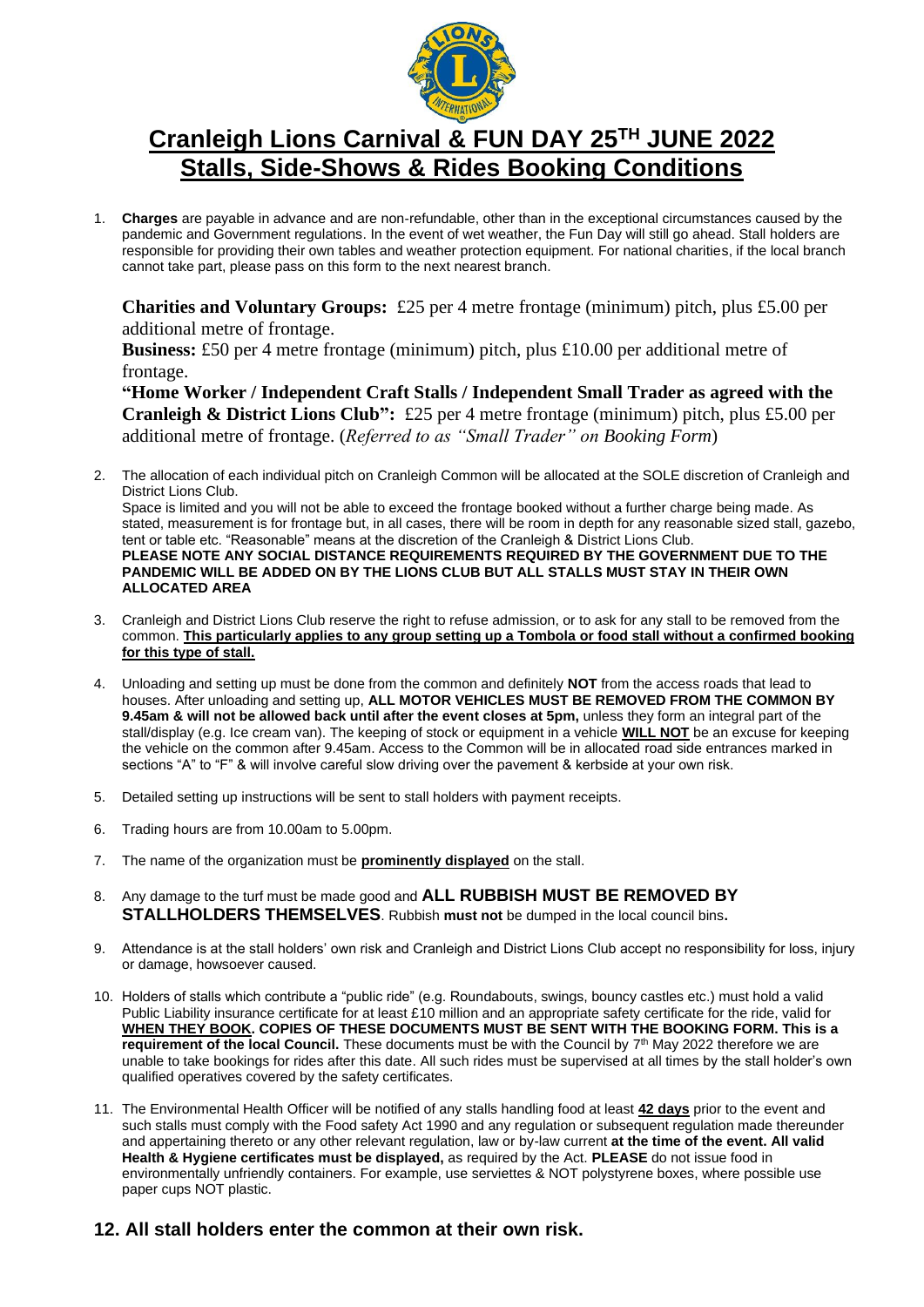

## **Cranleigh Lions Carnival & FUN DAY 25 TH JUNE 2022 Stalls, Side-Shows & Rides Booking Conditions**

1. **Charges** are payable in advance and are non-refundable, other than in the exceptional circumstances caused by the pandemic and Government regulations. In the event of wet weather, the Fun Day will still go ahead. Stall holders are responsible for providing their own tables and weather protection equipment. For national charities, if the local branch cannot take part, please pass on this form to the next nearest branch.

**Charities and Voluntary Groups:** £25 per 4 metre frontage (minimum) pitch, plus £5.00 per additional metre of frontage.

**Business:** £50 per 4 metre frontage (minimum) pitch, plus £10.00 per additional metre of frontage.

**"Home Worker / Independent Craft Stalls / Independent Small Trader as agreed with the Cranleigh & District Lions Club":** £25 per 4 metre frontage (minimum) pitch, plus £5.00 per additional metre of frontage. (*Referred to as "Small Trader" on Booking Form*)

- 2. The allocation of each individual pitch on Cranleigh Common will be allocated at the SOLE discretion of Cranleigh and District Lions Club. Space is limited and you will not be able to exceed the frontage booked without a further charge being made. As stated, measurement is for frontage but, in all cases, there will be room in depth for any reasonable sized stall, gazebo, tent or table etc. "Reasonable" means at the discretion of the Cranleigh & District Lions Club. **PLEASE NOTE ANY SOCIAL DISTANCE REQUIREMENTS REQUIRED BY THE GOVERNMENT DUE TO THE PANDEMIC WILL BE ADDED ON BY THE LIONS CLUB BUT ALL STALLS MUST STAY IN THEIR OWN ALLOCATED AREA**
- 3. Cranleigh and District Lions Club reserve the right to refuse admission, or to ask for any stall to be removed from the common. **This particularly applies to any group setting up a Tombola or food stall without a confirmed booking for this type of stall.**
- 4. Unloading and setting up must be done from the common and definitely **NOT** from the access roads that lead to houses. After unloading and setting up, **ALL MOTOR VEHICLES MUST BE REMOVED FROM THE COMMON BY 9.45am & will not be allowed back until after the event closes at 5pm,** unless they form an integral part of the stall/display (e.g. Ice cream van). The keeping of stock or equipment in a vehicle **WILL NOT** be an excuse for keeping the vehicle on the common after 9.45am. Access to the Common will be in allocated road side entrances marked in sections "A" to "F" & will involve careful slow driving over the pavement & kerbside at your own risk.
- 5. Detailed setting up instructions will be sent to stall holders with payment receipts.
- 6. Trading hours are from 10.00am to 5.00pm.
- 7. The name of the organization must be **prominently displayed** on the stall.
- 8. Any damage to the turf must be made good and **ALL RUBBISH MUST BE REMOVED BY STALLHOLDERS THEMSELVES**. Rubbish **must not** be dumped in the local council bins**.**
- 9. Attendance is at the stall holders' own risk and Cranleigh and District Lions Club accept no responsibility for loss, injury or damage, howsoever caused.
- 10. Holders of stalls which contribute a "public ride" (e.g. Roundabouts, swings, bouncy castles etc.) must hold a valid Public Liability insurance certificate for at least £10 million and an appropriate safety certificate for the ride, valid for **WHEN THEY BOOK. COPIES OF THESE DOCUMENTS MUST BE SENT WITH THE BOOKING FORM. This is a**  requirement of the local Council. These documents must be with the Council by 7<sup>th</sup> May 2022 therefore we are unable to take bookings for rides after this date. All such rides must be supervised at all times by the stall holder's own qualified operatives covered by the safety certificates.
- 11. The Environmental Health Officer will be notified of any stalls handling food at least **42 days** prior to the event and such stalls must comply with the Food safety Act 1990 and any regulation or subsequent regulation made thereunder and appertaining thereto or any other relevant regulation, law or by-law current **at the time of the event. All valid Health & Hygiene certificates must be displayed,** as required by the Act. **PLEASE** do not issue food in environmentally unfriendly containers. For example, use serviettes & NOT polystyrene boxes, where possible use paper cups NOT plastic.
- **12. All stall holders enter the common at their own risk.**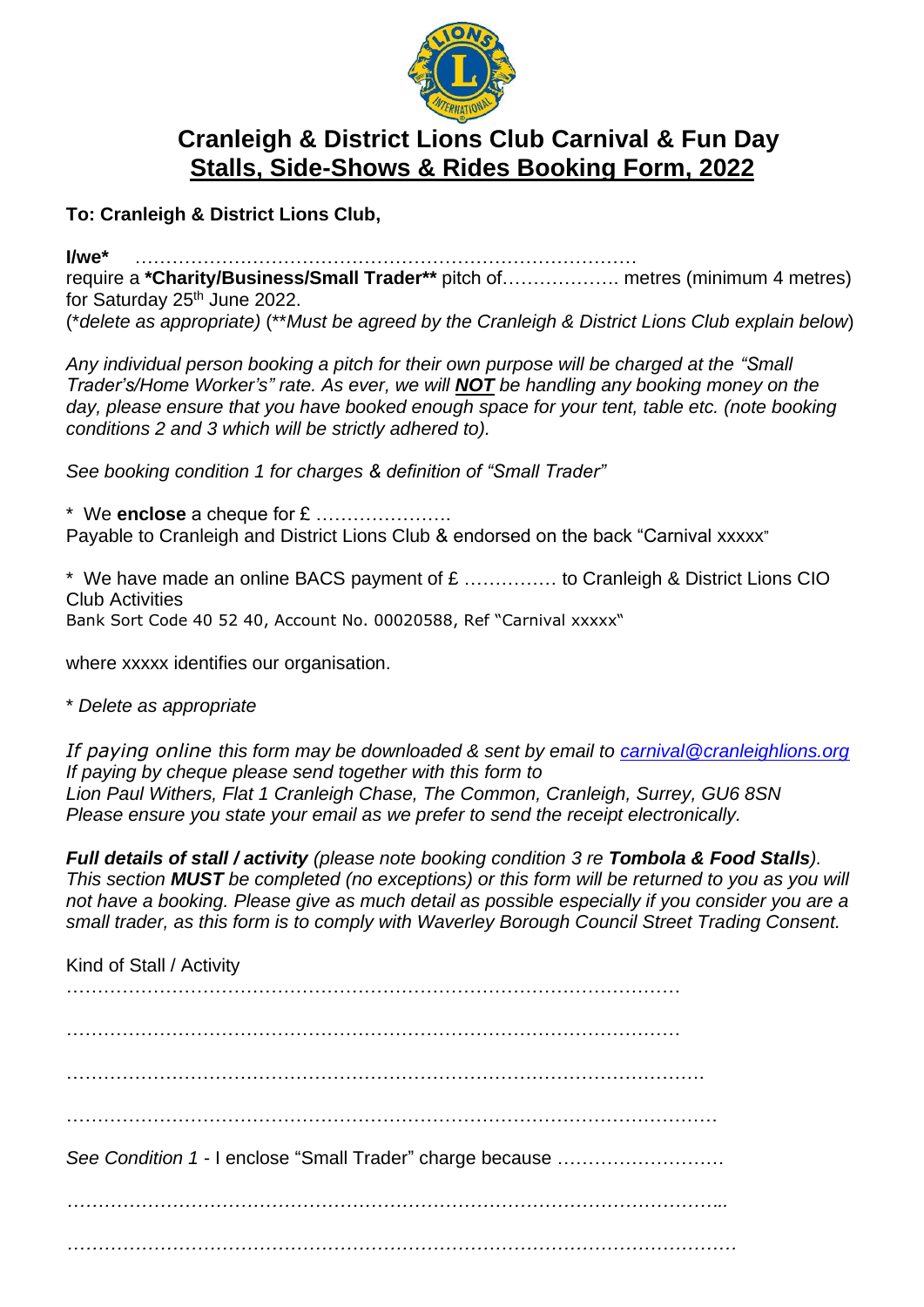

## **Cranleigh & District Lions Club Carnival & Fun Day Stalls, Side-Shows & Rides Booking Form, 2022**

**To: Cranleigh & District Lions Club,**

**I/we\*** ……………………………………………………………………… require a **\*Charity/Business/Small Trader\*\*** pitch of………………. metres (minimum 4 metres) for Saturday 25<sup>th</sup> June 2022.

(\**delete as appropriate)* (\*\**Must be agreed by the Cranleigh & District Lions Club explain below*)

*Any individual person booking a pitch for their own purpose will be charged at the "Small Trader's/Home Worker's" rate. As ever, we will NOT be handling any booking money on the*  day, please ensure that you have booked enough space for your tent, table etc. (note booking *conditions 2 and 3 which will be strictly adhered to).*

*See booking condition 1 for charges & definition of "Small Trader"*

\* We **enclose** a cheque for £ …………………. Payable to Cranleigh and District Lions Club & endorsed on the back "Carnival xxxxx"

\* We have made an online BACS payment of £ …………… to Cranleigh & District Lions CIO Club Activities Bank Sort Code 40 52 40, Account No. 00020588, Ref "Carnival xxxxx"

where xxxxx identifies our organisation.

\* *Delete as appropriate*

*If paying online this form may be downloaded & sent by email to [carnival@cranleighlions.org](mailto:carnival@cranleighlions.org) If paying by cheque please send together with this form to Lion Paul Withers, Flat 1 Cranleigh Chase, The Common, Cranleigh, Surrey, GU6 8SN Please ensure you state your email as we prefer to send the receipt electronically.*

*Full details of stall / activity (please note booking condition 3 re Tombola & Food Stalls). This section MUST be completed (no exceptions) or this form will be returned to you as you will not have a booking. Please give as much detail as possible especially if you consider you are a small trader, as this form is to comply with Waverley Borough Council Street Trading Consent.*

Kind of Stall / Activity ………………………………………………………………………………………  $\mathcal{L}^{\text{max}}$ …………………………………………………………………………………………. …………………………………………………………………………………………… *See Condition 1* - I enclose "Small Trader" charge because ……………………… *…………………………………………………………………………………………….. ………………………………………………………………………………………………*